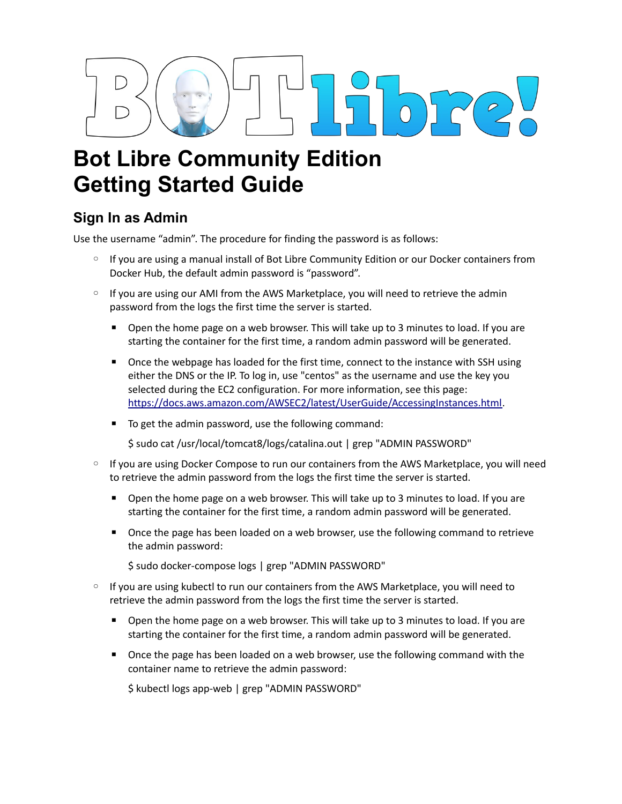# $\sqrt{2}$

## **Bot Libre Community Edition Getting Started Guide**

## **Sign In as Admin**

Use the username "admin". The procedure for finding the password is as follows:

- If you are using a manual install of Bot Libre Community Edition or our Docker containers from Docker Hub, the default admin password is "password".
- If you are using our AMI from the AWS Marketplace, you will need to retrieve the admin password from the logs the first time the server is started.
	- Open the home page on a web browser. This will take up to 3 minutes to load. If you are starting the container for the first time, a random admin password will be generated.
	- Once the webpage has loaded for the first time, connect to the instance with SSH using either the DNS or the IP. To log in, use "centos" as the username and use the key you selected during the EC2 configuration. For more information, see this page: [https://docs.aws.amazon.com/AWSEC2/latest/UserGuide/AccessingInstances.html.](https://docs.aws.amazon.com/AWSEC2/latest/UserGuide/AccessingInstances.html)
	- To get the admin password, use the following command:

\$ sudo cat /usr/local/tomcat8/logs/catalina.out | grep "ADMIN PASSWORD"

- If you are using Docker Compose to run our containers from the AWS Marketplace, you will need to retrieve the admin password from the logs the first time the server is started.
	- Open the home page on a web browser. This will take up to 3 minutes to load. If you are starting the container for the first time, a random admin password will be generated.
	- Once the page has been loaded on a web browser, use the following command to retrieve the admin password:
		- \$ sudo docker-compose logs | grep "ADMIN PASSWORD"
- If you are using kubectl to run our containers from the AWS Marketplace, you will need to retrieve the admin password from the logs the first time the server is started.
	- Open the home page on a web browser. This will take up to 3 minutes to load. If you are starting the container for the first time, a random admin password will be generated.
	- Once the page has been loaded on a web browser, use the following command with the container name to retrieve the admin password:

\$ kubectl logs app-web | grep "ADMIN PASSWORD"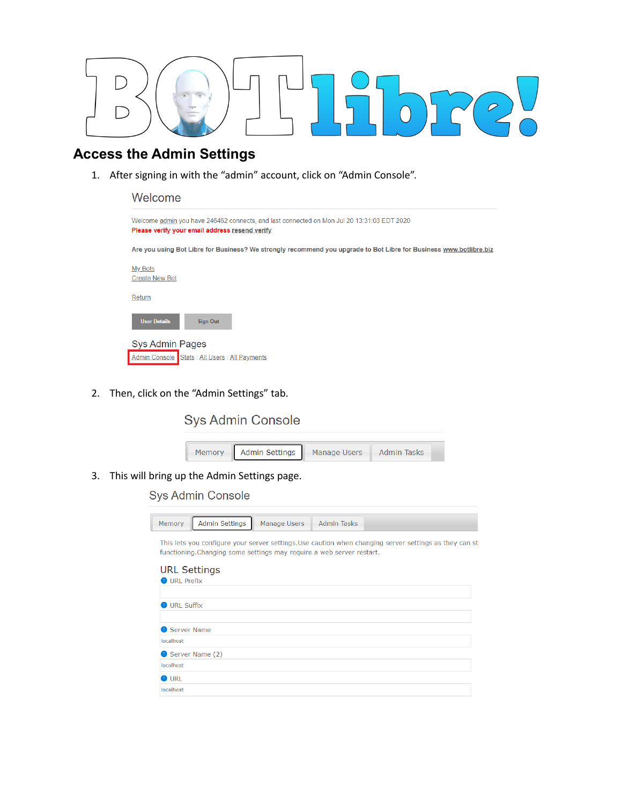

### **Access the Admin Settings**

1. After signing in with the "admin" account, click on "Admin Console".

| Welcome                                                                                                                                      |
|----------------------------------------------------------------------------------------------------------------------------------------------|
| Welcome admin you have 246462 connects, and last connected on Mon Jul 20 13:31:03 EDT 2020<br>Please verify your email address resend verify |
| Are you using Bot Libre for Business? We strongly recommend you upgrade to Bot Libre for Business www.botlibre.biz                           |
| <b>My Bots</b><br><b>Create New Bot</b>                                                                                                      |
| Return                                                                                                                                       |
| <b>User Details</b><br><b>Sign Out</b>                                                                                                       |
| Sys Admin Pages                                                                                                                              |
| Admin Console Stats : All Users : All Payments                                                                                               |

2. Then, click on the "Admin Settings" tab.

### **Sys Admin Console**



3. This will bring up the Admin Settings page.

### **Sys Admin Console**

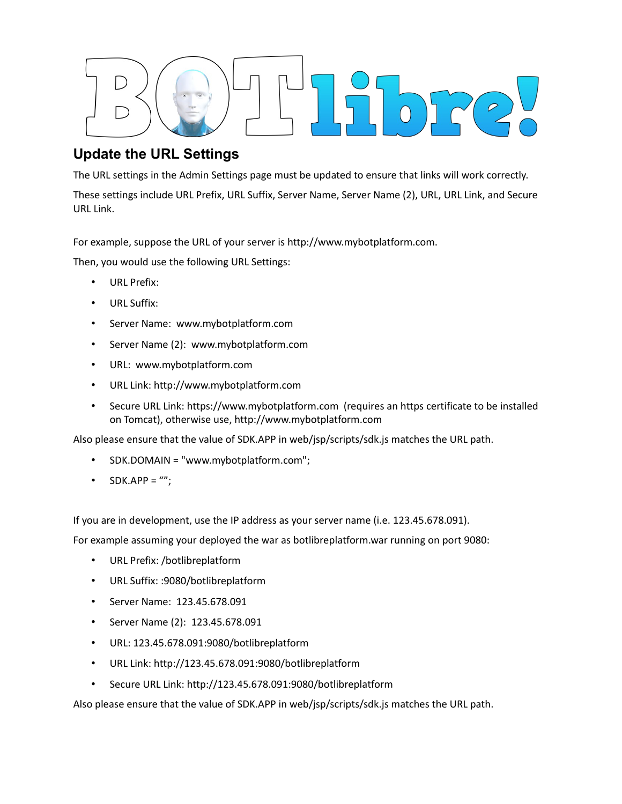

### **Update the URL Settings**

The URL settings in the Admin Settings page must be updated to ensure that links will work correctly.

These settings include URL Prefix, URL Suffix, Server Name, Server Name (2), URL, URL Link, and Secure URL Link.

For example, suppose the URL of your server is http://www.mybotplatform.com.

Then, you would use the following URL Settings:

- URL Prefix:
- URL Suffix:
- Server Name: www.mybotplatform.com
- Server Name (2): www.mybotplatform.com
- URL: www.mybotplatform.com
- URL Link: http://www.mybotplatform.com
- Secure URL Link: https://www.mybotplatform.com (requires an https certificate to be installed on Tomcat), otherwise use, http://www.mybotplatform.com

Also please ensure that the value of SDK.APP in web/jsp/scripts/sdk.js matches the URL path.

- SDK.DOMAIN = "www.mybotplatform.com";
- SDK.APP =  $'''$ ;

If you are in development, use the IP address as your server name (i.e. 123.45.678.091).

For example assuming your deployed the war as botlibreplatform.war running on port 9080:

- URL Prefix: /botlibreplatform
- URL Suffix: :9080/botlibreplatform
- Server Name: 123.45.678.091
- Server Name (2): 123.45.678.091
- URL: 123.45.678.091:9080/botlibreplatform
- URL Link: http://123.45.678.091:9080/botlibreplatform
- Secure URL Link: http://123.45.678.091:9080/botlibreplatform

Also please ensure that the value of SDK.APP in web/jsp/scripts/sdk.js matches the URL path.